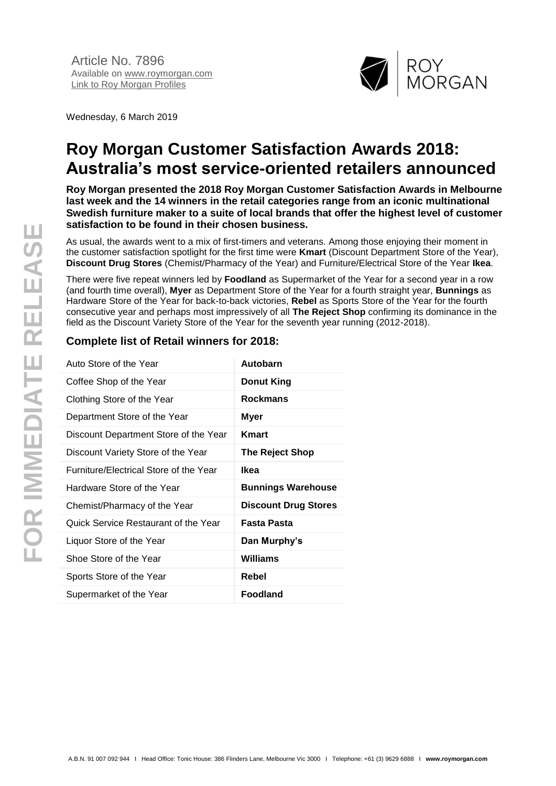

Wednesday, 6 March 2019

# **Roy Morgan Customer Satisfaction Awards 2018: Australia's most service-oriented retailers announced**

**Roy Morgan presented the 2018 Roy Morgan Customer Satisfaction Awards in Melbourne last week and the 14 winners in the retail categories range from an iconic multinational Swedish furniture maker to a suite of local brands that offer the highest level of customer satisfaction to be found in their chosen business.**

As usual, the awards went to a mix of first-timers and veterans. Among those enjoying their moment in the customer satisfaction spotlight for the first time were **Kmart** (Discount Department Store of the Year), **Discount Drug Stores** (Chemist/Pharmacy of the Year) and Furniture/Electrical Store of the Year **Ikea**.

There were five repeat winners led by **Foodland** as Supermarket of the Year for a second year in a row (and fourth time overall), **Myer** as Department Store of the Year for a fourth straight year, **Bunnings** as Hardware Store of the Year for back-to-back victories, **Rebel** as Sports Store of the Year for the fourth consecutive year and perhaps most impressively of all **The Reject Shop** confirming its dominance in the field as the Discount Variety Store of the Year for the seventh year running (2012-2018).

# **Complete list of Retail winners for 2018:**

| Auto Store of the Year                 | Autobarn                    |
|----------------------------------------|-----------------------------|
| Coffee Shop of the Year                | <b>Donut King</b>           |
| Clothing Store of the Year             | <b>Rockmans</b>             |
| Department Store of the Year           | Myer                        |
| Discount Department Store of the Year  | Kmart                       |
| Discount Variety Store of the Year     | The Reject Shop             |
| Furniture/Electrical Store of the Year | Ikea                        |
| Hardware Store of the Year             | <b>Bunnings Warehouse</b>   |
| Chemist/Pharmacy of the Year           | <b>Discount Drug Stores</b> |
| Quick Service Restaurant of the Year   | Fasta Pasta                 |
| Liquor Store of the Year               | Dan Murphy's                |
| Shoe Store of the Year                 | Williams                    |
| Sports Store of the Year               | Rebel                       |
| Supermarket of the Year                | <b>Foodland</b>             |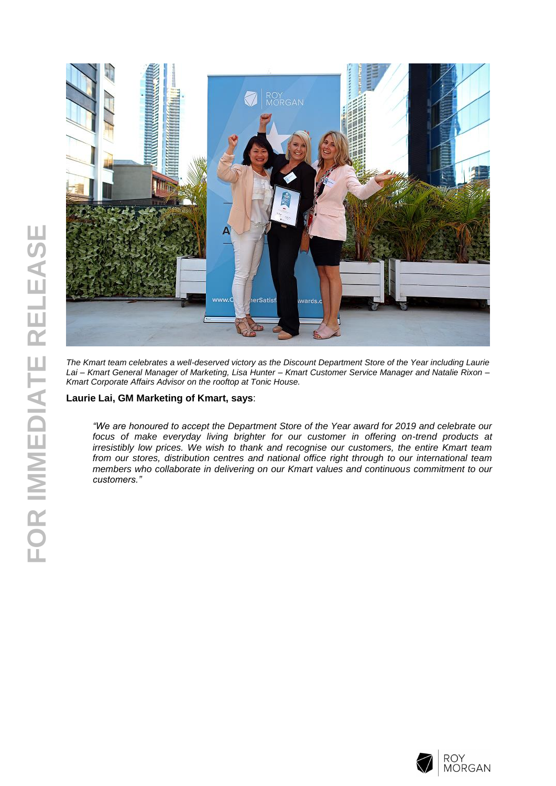



*The Kmart team celebrates a well-deserved victory as the Discount Department Store of the Year including Laurie Lai – Kmart General Manager of Marketing, Lisa Hunter – Kmart Customer Service Manager and Natalie Rixon – Kmart Corporate Affairs Advisor on the rooftop at Tonic House.*

## **Laurie Lai, GM Marketing of Kmart, says**:

*"We are honoured to accept the Department Store of the Year award for 2019 and celebrate our*  focus of make everyday living brighter for our customer in offering on-trend products at *irresistibly low prices. We wish to thank and recognise our customers, the entire Kmart team from our stores, distribution centres and national office right through to our international team members who collaborate in delivering on our Kmart values and continuous commitment to our customers."*

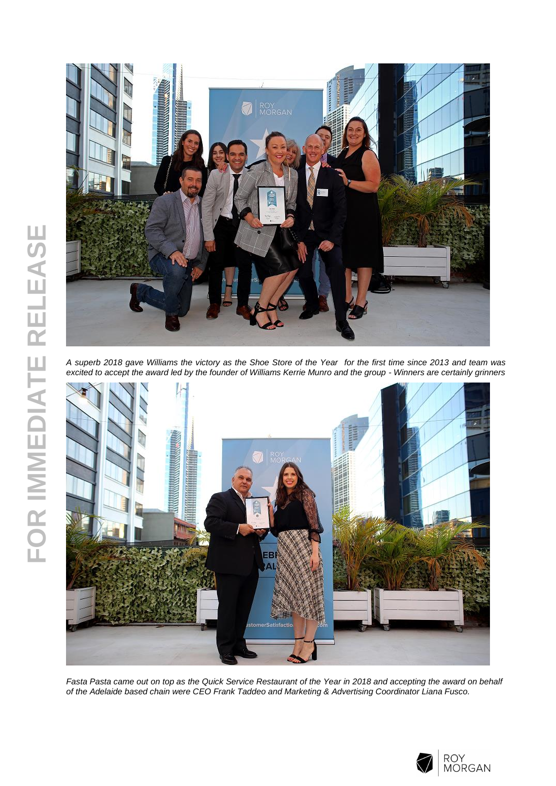

*A superb 2018 gave Williams the victory as the Shoe Store of the Year for the first time since 2013 and team was excited to accept the award led by the founder of Williams Kerrie Munro and the group - Winners are certainly grinners*



*Fasta Pasta came out on top as the Quick Service Restaurant of the Year in 2018 and accepting the award on behalf of the Adelaide based chain were CEO Frank Taddeo and Marketing & Advertising Coordinator Liana Fusco.*